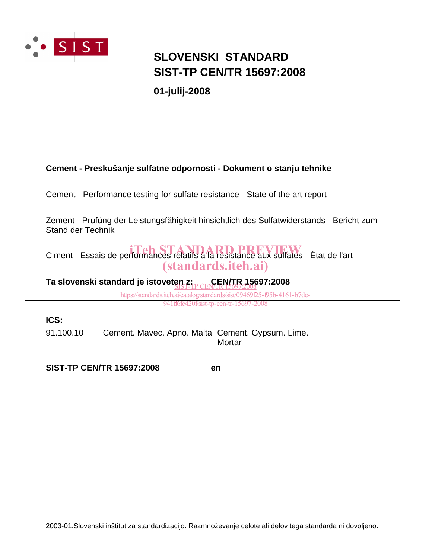

## **SIST-TP CEN/TR 15697:2008 SLOVENSKI STANDARD**

**01-julij-2008**

### **Cement - Preskušanje sulfatne odpornosti - Dokument o stanju tehnike**

Cement - Performance testing for sulfate resistance - State of the art report

Zement - Prufüng der Leistungsfähigkeit hinsichtlich des Sulfatwiderstands - Bericht zum Stand der Technik

Ciment - Essais de performances relatifs à la résistance aux sulfates - État de l'art (standards.iteh.ai)

**Ta slovenski standard je istoveten z:** CEN/TR 15697:2008

> https://standards.iteh.ai/catalog/standards/sist/09469f25-f95b-4161-b7de-941ff6fc420f/sist-tp-cen-tr-15697-2008

**ICS:**

91.100.10 Cement. Mavec. Apno. Malta Cement. Gypsum. Lime. **Mortar** 

**SIST-TP CEN/TR 15697:2008 en**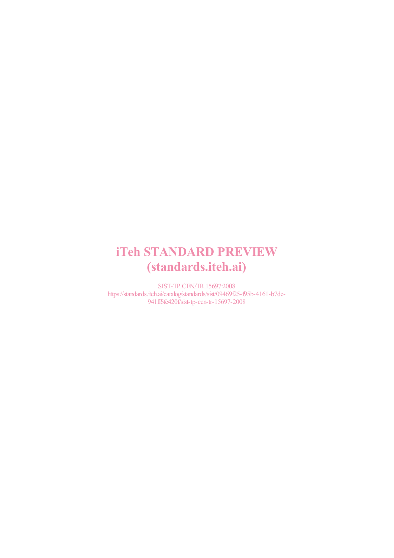# iTeh STANDARD PREVIEW (standards.iteh.ai)

SIST-TP CEN/TR15697:2008 https://standards.iteh.ai/catalog/standards/sist/09469f25-f95b-4161-b7de-941ff6fc420f/sist-tp-cen-tr-15697-2008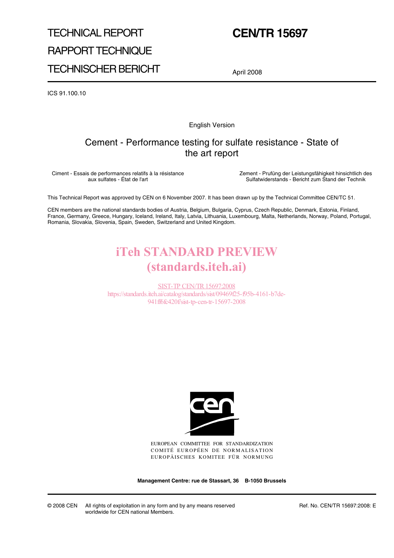# TECHNICAL REPORT RAPPORT TECHNIQUE TECHNISCHER BERICHT

## **CEN/TR 15697**

April 2008

ICS 91.100.10

English Version

## Cement - Performance testing for sulfate resistance - State of the art report

Ciment - Essais de performances relatifs à la résistance aux sulfates - État de l'art

Zement - Prufüng der Leistungsfähigkeit hinsichtlich des Sulfatwiderstands - Bericht zum Stand der Technik

This Technical Report was approved by CEN on 6 November 2007. It has been drawn up by the Technical Committee CEN/TC 51.

CEN members are the national standards bodies of Austria, Belgium, Bulgaria, Cyprus, Czech Republic, Denmark, Estonia, Finland, France, Germany, Greece, Hungary, Iceland, Ireland, Italy, Latvia, Lithuania, Luxembourg, Malta, Netherlands, Norway, Poland, Portugal, Romania, Slovakia, Slovenia, Spain, Sweden, Switzerland and United Kingdom.

## iTeh STANDARD PREVIEW (standards.iteh.ai)

SIST-TP CEN/TR15697:2008 https://standards.iteh.ai/catalog/standards/sist/09469f25-f95b-4161-b7de-941ff6fc420f/sist-tp-cen-tr-15697-2008



EUROPEAN COMMITTEE FOR STANDARDIZATION COMITÉ EUROPÉEN DE NORMALISATION EUROPÄISCHES KOMITEE FÜR NORMUNG

**Management Centre: rue de Stassart, 36 B-1050 Brussels**

© 2008 CEN All rights of exploitation in any form and by any means reserved worldwide for CEN national Members.

Ref. No. CEN/TR 15697:2008: E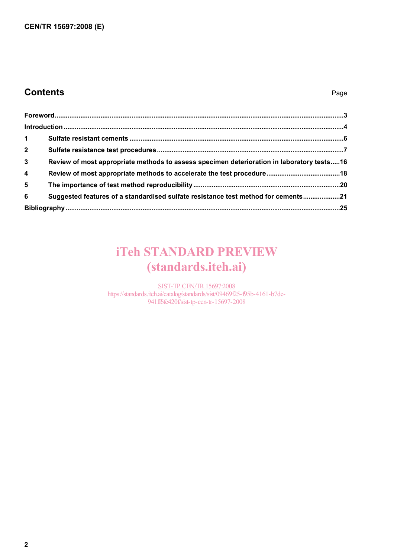## **Contents** Page

| $1 \quad$       |                                                                                           |  |
|-----------------|-------------------------------------------------------------------------------------------|--|
| $2^{\circ}$     |                                                                                           |  |
| $\mathbf{3}$    | Review of most appropriate methods to assess specimen deterioration in laboratory tests16 |  |
| $\overline{4}$  |                                                                                           |  |
| $5\overline{5}$ |                                                                                           |  |
| 6               | Suggested features of a standardised sulfate resistance test method for cements21         |  |
|                 |                                                                                           |  |

# iTeh STANDARD PREVIEW (standards.iteh.ai)

SIST-TP CEN/TR 15697:2008 https://standards.iteh.ai/catalog/standards/sist/09469f25-f95b-4161-b7de-941ff6fc420f/sist-tp-cen-tr-15697-2008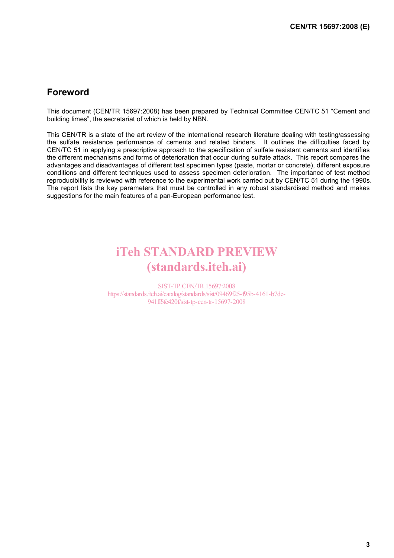## **Foreword**

This document (CEN/TR 15697:2008) has been prepared by Technical Committee CEN/TC 51 "Cement and building limes", the secretariat of which is held by NBN.

This CEN/TR is a state of the art review of the international research literature dealing with testing/assessing the sulfate resistance performance of cements and related binders. It outlines the difficulties faced by CEN/TC 51 in applying a prescriptive approach to the specification of sulfate resistant cements and identifies the different mechanisms and forms of deterioration that occur during sulfate attack. This report compares the advantages and disadvantages of different test specimen types (paste, mortar or concrete), different exposure conditions and different techniques used to assess specimen deterioration. The importance of test method reproducibility is reviewed with reference to the experimental work carried out by CEN/TC 51 during the 1990s. The report lists the key parameters that must be controlled in any robust standardised method and makes suggestions for the main features of a pan-European performance test.

## iTeh STANDARD PREVIEW (standards.iteh.ai)

SIST-TP CEN/TR15697:2008 https://standards.iteh.ai/catalog/standards/sist/09469f25-f95b-4161-b7de-941ff6fc420f/sist-tp-cen-tr-15697-2008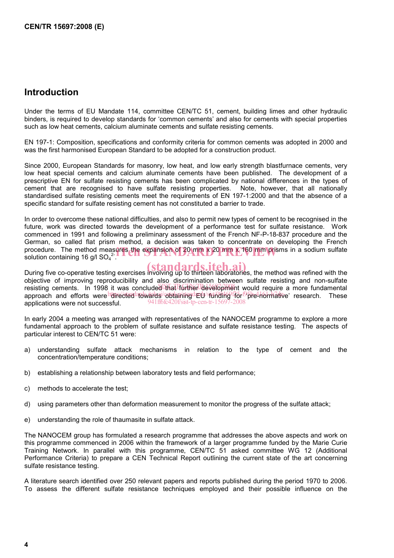### **Introduction**

Under the terms of EU Mandate 114, committee CEN/TC 51, cement, building limes and other hydraulic binders, is required to develop standards for 'common cements' and also for cements with special properties such as low heat cements, calcium aluminate cements and sulfate resisting cements.

EN 197-1: Composition, specifications and conformity criteria for common cements was adopted in 2000 and was the first harmonised European Standard to be adopted for a construction product.

Since 2000, European Standards for masonry, low heat, and low early strength blastfurnace cements, very low heat special cements and calcium aluminate cements have been published. The development of a prescriptive EN for sulfate resisting cements has been complicated by national differences in the types of cement that are recognised to have sulfate resisting properties. Note, however, that all nationally standardised sulfate resisting cements meet the requirements of EN 197-1:2000 and that the absence of a specific standard for sulfate resisting cement has not constituted a barrier to trade.

In order to overcome these national difficulties, and also to permit new types of cement to be recognised in the future, work was directed towards the development of a performance test for sulfate resistance. Work commenced in 1991 and following a preliminary assessment of the French NF-P-18-837 procedure and the German, so called flat prism method, a decision was taken to concentrate on developing the French procedure. The method measures the expansion of 20 mm x 20 mm x 160 mm prisms in a sodium sulfate<br>solution containing 16 g/l SO<sub>4</sub><sup>2</sup>. solution containing 16 g/l SO $_4^{2}$ .

During five co-operative testing exercises involving up to thirteen laboratories, the method was refined with the objective of improving reproducibility and also discrimination between sulfate resisting and non-sulfate resisting cements. In 1998 it was concluded that further development would require a more fundamental approach and efforts were itemected towards obtaining EU funding for  $\frac{p}{p}$  for  $\frac{p}{p}$  research. These applications were not successful. 941ff6fc420f/sist-tp-cen-tr-1569

In early 2004 a meeting was arranged with representatives of the NANOCEM programme to explore a more fundamental approach to the problem of sulfate resistance and sulfate resistance testing. The aspects of particular interest to CEN/TC 51 were:

- a) understanding sulfate attack mechanisms in relation to the type of cement and the concentration/temperature conditions;
- b) establishing a relationship between laboratory tests and field performance;
- c) methods to accelerate the test;
- d) using parameters other than deformation measurement to monitor the progress of the sulfate attack;
- e) understanding the role of thaumasite in sulfate attack.

The NANOCEM group has formulated a research programme that addresses the above aspects and work on this programme commenced in 2006 within the framework of a larger programme funded by the Marie Curie Training Network. In parallel with this programme, CEN/TC 51 asked committee WG 12 (Additional Performance Criteria) to prepare a CEN Technical Report outlining the current state of the art concerning sulfate resistance testing.

A literature search identified over 250 relevant papers and reports published during the period 1970 to 2006. To assess the different sulfate resistance techniques employed and their possible influence on the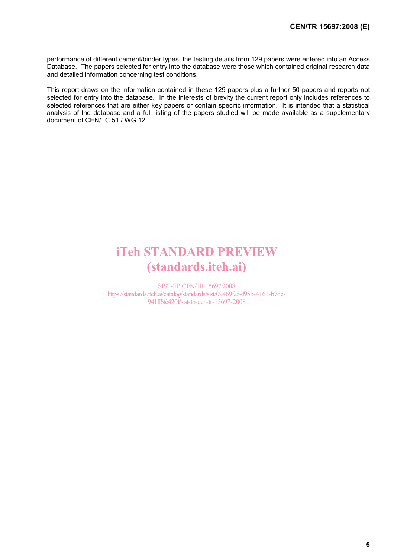performance of different cement/binder types, the testing details from 129 papers were entered into an Access Database. The papers selected for entry into the database were those which contained original research data and detailed information concerning test conditions.

This report draws on the information contained in these 129 papers plus a further 50 papers and reports not selected for entry into the database. In the interests of brevity the current report only includes references to selected references that are either key papers or contain specific information. It is intended that a statistical analysis of the database and a full listing of the papers studied will be made available as a supplementary document of CEN/TC 51 / WG 12.

# iTeh STANDARD PREVIEW (standards.iteh.ai)

SIST-TP CEN/TR15697:2008 https://standards.iteh.ai/catalog/standards/sist/09469f25-f95b-4161-b7de-941ff6fc420f/sist-tp-cen-tr-15697-2008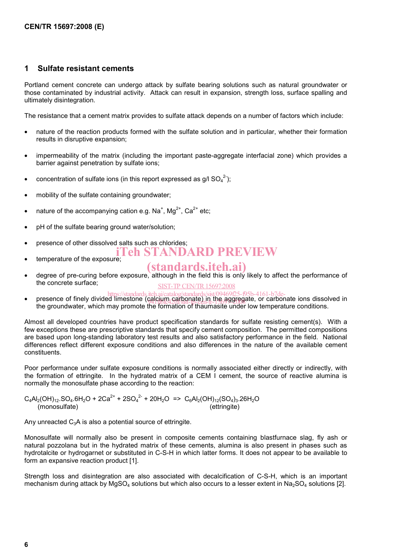#### **1 Sulfate resistant cements**

Portland cement concrete can undergo attack by sulfate bearing solutions such as natural groundwater or those contaminated by industrial activity. Attack can result in expansion, strength loss, surface spalling and ultimately disintegration.

The resistance that a cement matrix provides to sulfate attack depends on a number of factors which include:

- nature of the reaction products formed with the sulfate solution and in particular, whether their formation results in disruptive expansion;
- impermeability of the matrix (including the important paste-aggregate interfacial zone) which provides a barrier against penetration by sulfate ions;
- concentration of sulfate ions (in this report expressed as  $g/|\text{ SO}_4^2\rangle$ ;
- mobility of the sulfate containing groundwater;
- nature of the accompanying cation e.g. Na<sup>+</sup>, Mg<sup>2+</sup>, Ca<sup>2+</sup> etc;
- pH of the sulfate bearing ground water/solution;
- presence of other dissolved salts such as chlorides; 'eh STANDARD PREVIEW
- temperature of the exposure:

## (standards.iteh.ai)

- degree of pre-curing before exposure, although in the field this is only likely to affect the performance of the concrete surface; SIST-TP CEN/TR 15697:2008
- presence of finely divided limestone (calcium catalog/standards/sist/09469f25-f95b-4161-b7de-<br>• presence of finely divided limestone (calcium carbonate) in the aggregate, or carbonate ions dissolved in the groundwater, which may promote the formation of thaumasite under low temperature conditions. 941ff6fc420f/sist-tp-cen-tr-15697-2008

Almost all developed countries have product specification standards for sulfate resisting cement(s). With a few exceptions these are prescriptive standards that specify cement composition. The permitted compositions are based upon long-standing laboratory test results and also satisfactory performance in the field. National differences reflect different exposure conditions and also differences in the nature of the available cement constituents.

Poor performance under sulfate exposure conditions is normally associated either directly or indirectly, with the formation of ettringite. In the hydrated matrix of a CEM I cement, the source of reactive alumina is normally the monosulfate phase according to the reaction:

 $C_4Al_2(OH)_{12}.SO_4.6H_2O + 2Ca^{2+} + 2SO_4^{2-} + 20H_2O = > C_6Al_2(OH)_{12}(SO_4)_3.26H_2O$ (monosulfate) (ettringite)

Any unreacted  $C_3A$  is also a potential source of ettringite.

Monosulfate will normally also be present in composite cements containing blastfurnace slag, fly ash or natural pozzolana but in the hydrated matrix of these cements, alumina is also present in phases such as hydrotalcite or hydrogarnet or substituted in C-S-H in which latter forms. It does not appear to be available to form an expansive reaction product [1].

Strength loss and disintegration are also associated with decalcification of C-S-H, which is an important mechanism during attack by MgSO<sub>4</sub> solutions but which also occurs to a lesser extent in Na<sub>2</sub>SO<sub>4</sub> solutions [2].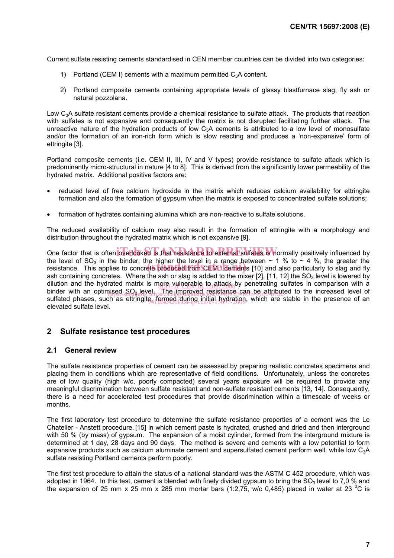Current sulfate resisting cements standardised in CEN member countries can be divided into two categories:

- 1) Portland (CEM I) cements with a maximum permitted  $C_3A$  content.
- 2) Portland composite cements containing appropriate levels of glassy blastfurnace slag, fly ash or natural pozzolana.

Low C3A sulfate resistant cements provide a chemical resistance to sulfate attack. The products that reaction with sulfates is not expansive and consequently the matrix is not disrupted facilitating further attack. The unreactive nature of the hydration products of low  $C_3A$  cements is attributed to a low level of monosulfate and/or the formation of an iron-rich form which is slow reacting and produces a 'non-expansive' form of ettringite [3].

Portland composite cements (i.e. CEM II, III, IV and V types) provide resistance to sulfate attack which is predominantly micro-structural in nature [4 to 8]. This is derived from the significantly lower permeability of the hydrated matrix. Additional positive factors are:

- reduced level of free calcium hydroxide in the matrix which reduces calcium availability for ettringite formation and also the formation of gypsum when the matrix is exposed to concentrated sulfate solutions;
- formation of hydrates containing alumina which are non-reactive to sulfate solutions.

The reduced availability of calcium may also result in the formation of ettringite with a morphology and distribution throughout the hydrated matrix which is not expansive [9].

One factor that is often overlooked is that resistance to external sulfates is hormally positively influenced by the level of SO<sub>3</sub> in the binder; the higher the level in a range between  $\sim$  1 % to  $\sim$  4 %, the greater the the level of  $SO_3$  in the binder; the nigher the level in a range between  $\sim$  1 % to  $\sim$  4 %, the greater the resistance. This applies to concrete produced from CEM I cements [10] and also particularly to slag and fly ash containing concretes. Where the ash or slag is added to the mixer [2], [11, 12] the  $SO<sub>3</sub>$  level is lowered by dilution and the hydrated matrix is more vulnerable to attack by penetrating sulfates in comparison with a binder with an optimised SO<sub>3</sub> level. The improved resistance can be attributed to the increased level of sulfated phases, such as ettringite<sub>4</sub> formed during initial hydration, which are stable in the presence of an elevated sulfate level.

#### **2 Sulfate resistance test procedures**

#### **2.1 General review**

The sulfate resistance properties of cement can be assessed by preparing realistic concretes specimens and placing them in conditions which are representative of field conditions. Unfortunately, unless the concretes are of low quality (high w/c, poorly compacted) several years exposure will be required to provide any meaningful discrimination between sulfate resistant and non-sulfate resistant cements [13, 14]. Consequently, there is a need for accelerated test procedures that provide discrimination within a timescale of weeks or months.

The first laboratory test procedure to determine the sulfate resistance properties of a cement was the Le Chatelier - Anstett procedure, [15] in which cement paste is hydrated, crushed and dried and then interground with 50 % (by mass) of gypsum. The expansion of a moist cylinder, formed from the interground mixture is determined at 1 day, 28 days and 90 days. The method is severe and cements with a low potential to form expansive products such as calcium aluminate cement and supersulfated cement perform well, while low C<sub>3</sub>A sulfate resisting Portland cements perform poorly.

The first test procedure to attain the status of a national standard was the ASTM C 452 procedure, which was adopted in 1964. In this test, cement is blended with finely divided gypsum to bring the  $SO<sub>3</sub>$  level to 7,0 % and the expansion of 25 mm x 25 mm x 285 mm mortar bars (1:2,75, w/c 0,485) placed in water at 23 <sup>o</sup>C is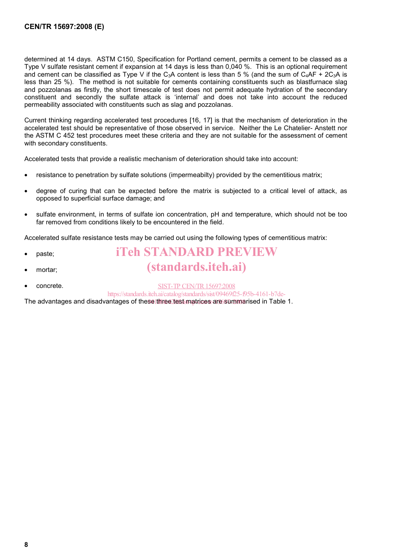determined at 14 days. ASTM C150, Specification for Portland cement, permits a cement to be classed as a Type V sulfate resistant cement if expansion at 14 days is less than 0,040 %. This is an optional requirement and cement can be classified as Type V if the C<sub>3</sub>A content is less than 5 % (and the sum of C<sub>4</sub>AF + 2C<sub>3</sub>A is less than 25 %). The method is not suitable for cements containing constituents such as blastfurnace slag and pozzolanas as firstly, the short timescale of test does not permit adequate hydration of the secondary constituent and secondly the sulfate attack is 'internal' and does not take into account the reduced permeability associated with constituents such as slag and pozzolanas.

Current thinking regarding accelerated test procedures [16, 17] is that the mechanism of deterioration in the accelerated test should be representative of those observed in service. Neither the Le Chatelier- Anstett nor the ASTM C 452 test procedures meet these criteria and they are not suitable for the assessment of cement with secondary constituents.

Accelerated tests that provide a realistic mechanism of deterioration should take into account:

- resistance to penetration by sulfate solutions (impermeabilty) provided by the cementitious matrix;
- degree of curing that can be expected before the matrix is subjected to a critical level of attack, as opposed to superficial surface damage; and
- sulfate environment, in terms of sulfate ion concentration, pH and temperature, which should not be too far removed from conditions likely to be encountered in the field.

Accelerated sulfate resistance tests may be carried out using the following types of cementitious matrix:

- paste;
- mortar:
- concrete.

iTeh STANDARD PREVIEW (standards.iteh.ai)

SIST-TP CEN/TR15697:2008

https://standards.iteh.ai/catalog/standards/sist/09469f25-f95b-4161-b7de-

The advantages and disadvantages of these<u>⊺three test matrices are summa</u>rised in Table 1.